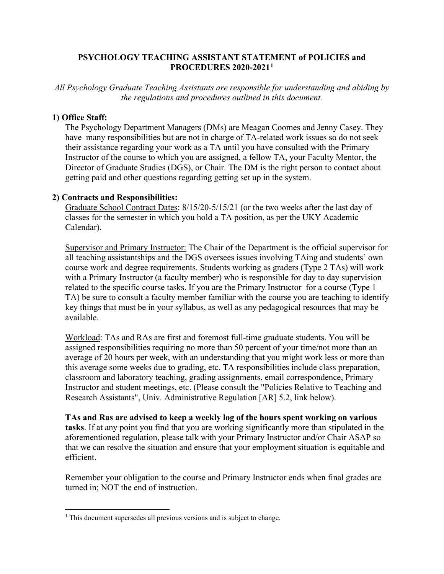## **PSYCHOLOGY TEACHING ASSISTANT STATEMENT of POLICIES and PROCEDURES 2020-2021[1](#page-0-0)**

*All Psychology Graduate Teaching Assistants are responsible for understanding and abiding by the regulations and procedures outlined in this document.*

## **1) Office Staff:**

The Psychology Department Managers (DMs) are Meagan Coomes and Jenny Casey. They have many responsibilities but are not in charge of TA-related work issues so do not seek their assistance regarding your work as a TA until you have consulted with the Primary Instructor of the course to which you are assigned, a fellow TA, your Faculty Mentor, the Director of Graduate Studies (DGS), or Chair. The DM is the right person to contact about getting paid and other questions regarding getting set up in the system.

## **2) Contracts and Responsibilities:**

Graduate School Contract Dates: 8/15/20-5/15/21 (or the two weeks after the last day of classes for the semester in which you hold a TA position, as per the UKY Academic Calendar).

Supervisor and Primary Instructor: The Chair of the Department is the official supervisor for all teaching assistantships and the DGS oversees issues involving TAing and students' own course work and degree requirements. Students working as graders (Type 2 TAs) will work with a Primary Instructor (a faculty member) who is responsible for day to day supervision related to the specific course tasks. If you are the Primary Instructor for a course (Type 1 TA) be sure to consult a faculty member familiar with the course you are teaching to identify key things that must be in your syllabus, as well as any pedagogical resources that may be available.

Workload: TAs and RAs are first and foremost full-time graduate students. You will be assigned responsibilities requiring no more than 50 percent of your time/not more than an average of 20 hours per week, with an understanding that you might work less or more than this average some weeks due to grading, etc. TA responsibilities include class preparation, classroom and laboratory teaching, grading assignments, email correspondence, Primary Instructor and student meetings, etc. (Please consult the "Policies Relative to Teaching and Research Assistants", Univ. Administrative Regulation [AR] 5.2, link below).

**TAs and Ras are advised to keep a weekly log of the hours spent working on various tasks**. If at any point you find that you are working significantly more than stipulated in the aforementioned regulation, please talk with your Primary Instructor and/or Chair ASAP so that we can resolve the situation and ensure that your employment situation is equitable and efficient.

Remember your obligation to the course and Primary Instructor ends when final grades are turned in; NOT the end of instruction.

<span id="page-0-0"></span><sup>&</sup>lt;sup>1</sup> This document supersedes all previous versions and is subject to change.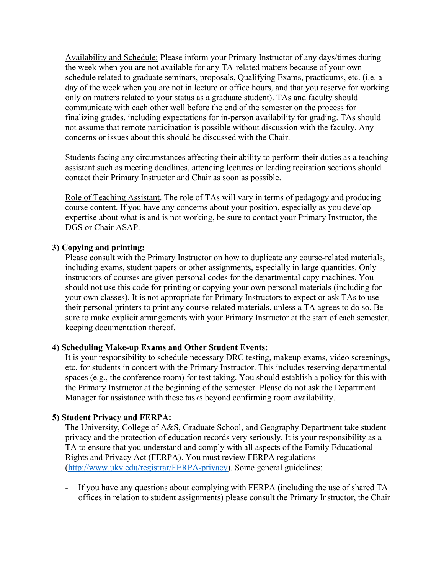Availability and Schedule: Please inform your Primary Instructor of any days/times during the week when you are not available for any TA-related matters because of your own schedule related to graduate seminars, proposals, Qualifying Exams, practicums, etc. (i.e. a day of the week when you are not in lecture or office hours, and that you reserve for working only on matters related to your status as a graduate student). TAs and faculty should communicate with each other well before the end of the semester on the process for finalizing grades, including expectations for in-person availability for grading. TAs should not assume that remote participation is possible without discussion with the faculty. Any concerns or issues about this should be discussed with the Chair.

Students facing any circumstances affecting their ability to perform their duties as a teaching assistant such as meeting deadlines, attending lectures or leading recitation sections should contact their Primary Instructor and Chair as soon as possible.

Role of Teaching Assistant. The role of TAs will vary in terms of pedagogy and producing course content. If you have any concerns about your position, especially as you develop expertise about what is and is not working, be sure to contact your Primary Instructor, the DGS or Chair ASAP.

## **3) Copying and printing:**

Please consult with the Primary Instructor on how to duplicate any course-related materials, including exams, student papers or other assignments, especially in large quantities. Only instructors of courses are given personal codes for the departmental copy machines. You should not use this code for printing or copying your own personal materials (including for your own classes). It is not appropriate for Primary Instructors to expect or ask TAs to use their personal printers to print any course-related materials, unless a TA agrees to do so. Be sure to make explicit arrangements with your Primary Instructor at the start of each semester, keeping documentation thereof.

### **4) Scheduling Make-up Exams and Other Student Events:**

It is your responsibility to schedule necessary DRC testing, makeup exams, video screenings, etc. for students in concert with the Primary Instructor. This includes reserving departmental spaces (e.g., the conference room) for test taking. You should establish a policy for this with the Primary Instructor at the beginning of the semester. Please do not ask the Department Manager for assistance with these tasks beyond confirming room availability.

### **5) Student Privacy and FERPA:**

The University, College of A&S, Graduate School, and Geography Department take student privacy and the protection of education records very seriously. It is your responsibility as a TA to ensure that you understand and comply with all aspects of the Family Educational Rights and Privacy Act (FERPA). You must review FERPA regulations [\(http://www.uky.edu/registrar/FERPA-privacy\)](http://www.uky.edu/registrar/FERPA-privacy). Some general guidelines:

If you have any questions about complying with FERPA (including the use of shared TA offices in relation to student assignments) please consult the Primary Instructor, the Chair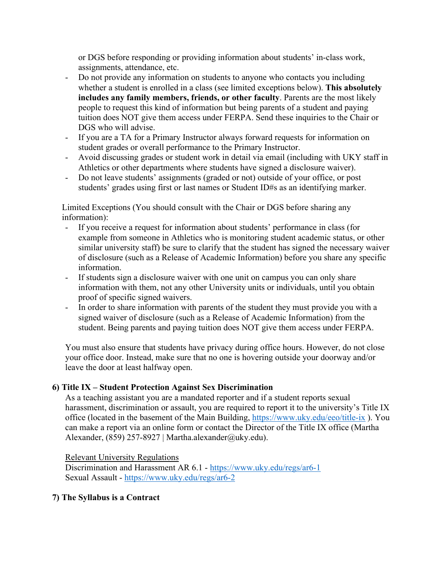or DGS before responding or providing information about students' in-class work, assignments, attendance, etc.

- Do not provide any information on students to anyone who contacts you including whether a student is enrolled in a class (see limited exceptions below). **This absolutely includes any family members, friends, or other faculty**. Parents are the most likely people to request this kind of information but being parents of a student and paying tuition does NOT give them access under FERPA. Send these inquiries to the Chair or DGS who will advise.
- If you are a TA for a Primary Instructor always forward requests for information on student grades or overall performance to the Primary Instructor.
- Avoid discussing grades or student work in detail via email (including with UKY staff in Athletics or other departments where students have signed a disclosure waiver).
- Do not leave students' assignments (graded or not) outside of your office, or post students' grades using first or last names or Student ID#s as an identifying marker.

Limited Exceptions (You should consult with the Chair or DGS before sharing any information):

- If you receive a request for information about students' performance in class (for example from someone in Athletics who is monitoring student academic status, or other similar university staff) be sure to clarify that the student has signed the necessary waiver of disclosure (such as a Release of Academic Information) before you share any specific information.
- If students sign a disclosure waiver with one unit on campus you can only share information with them, not any other University units or individuals, until you obtain proof of specific signed waivers.
- In order to share information with parents of the student they must provide you with a signed waiver of disclosure (such as a Release of Academic Information) from the student. Being parents and paying tuition does NOT give them access under FERPA.

You must also ensure that students have privacy during office hours. However, do not close your office door. Instead, make sure that no one is hovering outside your doorway and/or leave the door at least halfway open.

# **6) Title IX – Student Protection Against Sex Discrimination**

As a teaching assistant you are a mandated reporter and if a student reports sexual harassment, discrimination or assault, you are required to report it to the university's Title IX office (located in the basement of the Main Building,<https://www.uky.edu/eeo/title-ix> ). You can make a report via an online form or contact the Director of the Title IX office (Martha Alexander, (859) 257-8927 | Martha.alexander@uky.edu).

Relevant University Regulations

Discrimination and Harassment AR 6.1 - <https://www.uky.edu/regs/ar6-1> Sexual Assault - <https://www.uky.edu/regs/ar6-2>

# **7) The Syllabus is a Contract**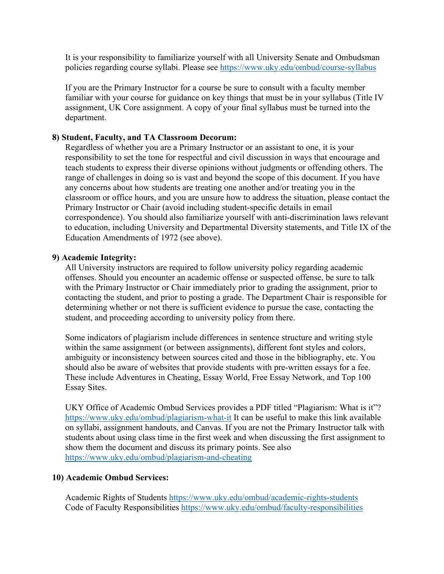It is your responsibility to familiarize yourself with all University Senate and Ombudsman policies regarding course syllabi. Please see<https://www.uky.edu/ombud/course-syllabus>

If you are the Primary Instructor for a course be sure to consult with a faculty member familiar with your course for guidance on key things that must be in your syllabus (Title IV assignment, UK Core assignment. A copy of your final syllabus must be turned into the department.

## **8) Student, Faculty, and TA Classroom Decorum:**

Regardless of whether you are a Primary Instructor or an assistant to one, it is your responsibility to set the tone for respectful and civil discussion in ways that encourage and teach students to express their diverse opinions without judgments or offending others. The range of challenges in doing so is vast and beyond the scope of this document. If you have any concerns about how students are treating one another and/or treating you in the classroom or office hours, and you are unsure how to address the situation, please contact the Primary Instructor or Chair (avoid including student-specific details in email correspondence). You should also familiarize yourself with anti-discrimination laws relevant to education, including University and Departmental Diversity statements, and Title IX of the Education Amendments of 1972 (see above).

### **9) Academic Integrity:**

All University instructors are required to follow university policy regarding academic offenses. Should you encounter an academic offense or suspected offense, be sure to talk with the Primary Instructor or Chair immediately prior to grading the assignment, prior to contacting the student, and prior to posting a grade. The Department Chair is responsible for determining whether or not there is sufficient evidence to pursue the case, contacting the student, and proceeding according to university policy from there.

Some indicators of plagiarism include differences in sentence structure and writing style within the same assignment (or between assignments), different font styles and colors, ambiguity or inconsistency between sources cited and those in the bibliography, etc. You should also be aware of websites that provide students with pre-written essays for a fee. These include Adventures in Cheating, Essay World, Free Essay Network, and Top 100 Essay Sites.

UKY Office of Academic Ombud Services provides a PDF titled "Plagiarism: What is it"? <https://www.uky.edu/ombud/plagiarism-what-it> It can be useful to make this link available on syllabi, assignment handouts, and Canvas. If you are not the Primary Instructor talk with students about using class time in the first week and when discussing the first assignment to show them the document and discuss its primary points. See also <https://www.uky.edu/ombud/plagiarism-and-cheating>

### **10) Academic Ombud Services:**

Academic Rights of Students<https://www.uky.edu/ombud/academic-rights-students> Code of Faculty Responsibilities<https://www.uky.edu/ombud/faculty-responsibilities>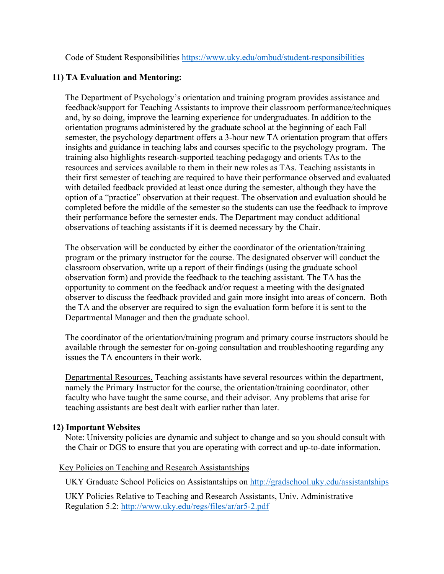Code of Student Responsibilities<https://www.uky.edu/ombud/student-responsibilities>

# **11) TA Evaluation and Mentoring:**

The Department of Psychology's orientation and training program provides assistance and feedback/support for Teaching Assistants to improve their classroom performance/techniques and, by so doing, improve the learning experience for undergraduates. In addition to the orientation programs administered by the graduate school at the beginning of each Fall semester, the psychology department offers a 3-hour new TA orientation program that offers insights and guidance in teaching labs and courses specific to the psychology program. The training also highlights research-supported teaching pedagogy and orients TAs to the resources and services available to them in their new roles as TAs. Teaching assistants in their first semester of teaching are required to have their performance observed and evaluated with detailed feedback provided at least once during the semester, although they have the option of a "practice" observation at their request. The observation and evaluation should be completed before the middle of the semester so the students can use the feedback to improve their performance before the semester ends. The Department may conduct additional observations of teaching assistants if it is deemed necessary by the Chair.

The observation will be conducted by either the coordinator of the orientation/training program or the primary instructor for the course. The designated observer will conduct the classroom observation, write up a report of their findings (using the graduate school observation form) and provide the feedback to the teaching assistant. The TA has the opportunity to comment on the feedback and/or request a meeting with the designated observer to discuss the feedback provided and gain more insight into areas of concern. Both the TA and the observer are required to sign the evaluation form before it is sent to the Departmental Manager and then the graduate school.

The coordinator of the orientation/training program and primary course instructors should be available through the semester for on-going consultation and troubleshooting regarding any issues the TA encounters in their work.

Departmental Resources. Teaching assistants have several resources within the department, namely the Primary Instructor for the course, the orientation/training coordinator, other faculty who have taught the same course, and their advisor. Any problems that arise for teaching assistants are best dealt with earlier rather than later.

# **12) Important Websites**

Note: University policies are dynamic and subject to change and so you should consult with the Chair or DGS to ensure that you are operating with correct and up-to-date information.

### Key Policies on Teaching and Research Assistantships

UKY Graduate School Policies on Assistantships on<http://gradschool.uky.edu/assistantships>

UKY Policies Relative to Teaching and Research Assistants, Univ. Administrative Regulation 5.2:<http://www.uky.edu/regs/files/ar/ar5-2.pdf>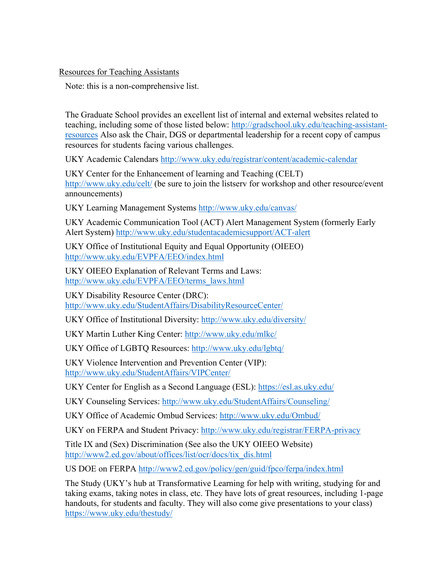## Resources for Teaching Assistants

Note: this is a non-comprehensive list.

The Graduate School provides an excellent list of internal and external websites related to teaching, including some of those listed below: [http://gradschool.uky.edu/teaching-assistant](http://gradschool.uky.edu/teaching-assistant-resources)[resources](http://gradschool.uky.edu/teaching-assistant-resources) Also ask the Chair, DGS or departmental leadership for a recent copy of campus resources for students facing various challenges.

UKY Academic Calendars<http://www.uky.edu/registrar/content/academic-calendar>

UKY Center for the Enhancement of learning and Teaching (CELT) <http://www.uky.edu/celt/> (be sure to join the listserv for workshop and other resource/event announcements)

UKY Learning Management Systems<http://www.uky.edu/canvas/>

UKY Academic Communication Tool (ACT) Alert Management System (formerly Early Alert System)<http://www.uky.edu/studentacademicsupport/ACT-alert>

UKY Office of Institutional Equity and Equal Opportunity (OIEEO) <http://www.uky.edu/EVPFA/EEO/index.html>

UKY OIEEO Explanation of Relevant Terms and Laws: [http://www.uky.edu/EVPFA/EEO/terms\\_laws.html](http://www.uky.edu/EVPFA/EEO/terms_laws.html)

UKY Disability Resource Center (DRC): <http://www.uky.edu/StudentAffairs/DisabilityResourceCenter/>

UKY Office of Institutional Diversity:<http://www.uky.edu/diversity/>

UKY Martin Luther King Center:<http://www.uky.edu/mlkc/>

UKY Office of LGBTQ Resources:<http://www.uky.edu/lgbtq/>

UKY Violence Intervention and Prevention Center (VIP): <http://www.uky.edu/StudentAffairs/VIPCenter/>

UKY Center for English as a Second Language (ESL):<https://esl.as.uky.edu/>

UKY Counseling Services:<http://www.uky.edu/StudentAffairs/Counseling/>

UKY Office of Academic Ombud Services:<http://www.uky.edu/Ombud/>

UKY on FERPA and Student Privacy:<http://www.uky.edu/registrar/FERPA-privacy>

Title IX and (Sex) Discrimination (See also the UKY OIEEO Website) [http://www2.ed.gov/about/offices/list/ocr/docs/tix\\_dis.html](http://www2.ed.gov/about/offices/list/ocr/docs/tix_dis.html)

US DOE on FERPA <http://www2.ed.gov/policy/gen/guid/fpco/ferpa/index.html>

The Study (UKY's hub at Transformative Learning for help with writing, studying for and taking exams, taking notes in class, etc. They have lots of great resources, including 1-page handouts, for students and faculty. They will also come give presentations to your class) <https://www.uky.edu/thestudy/>